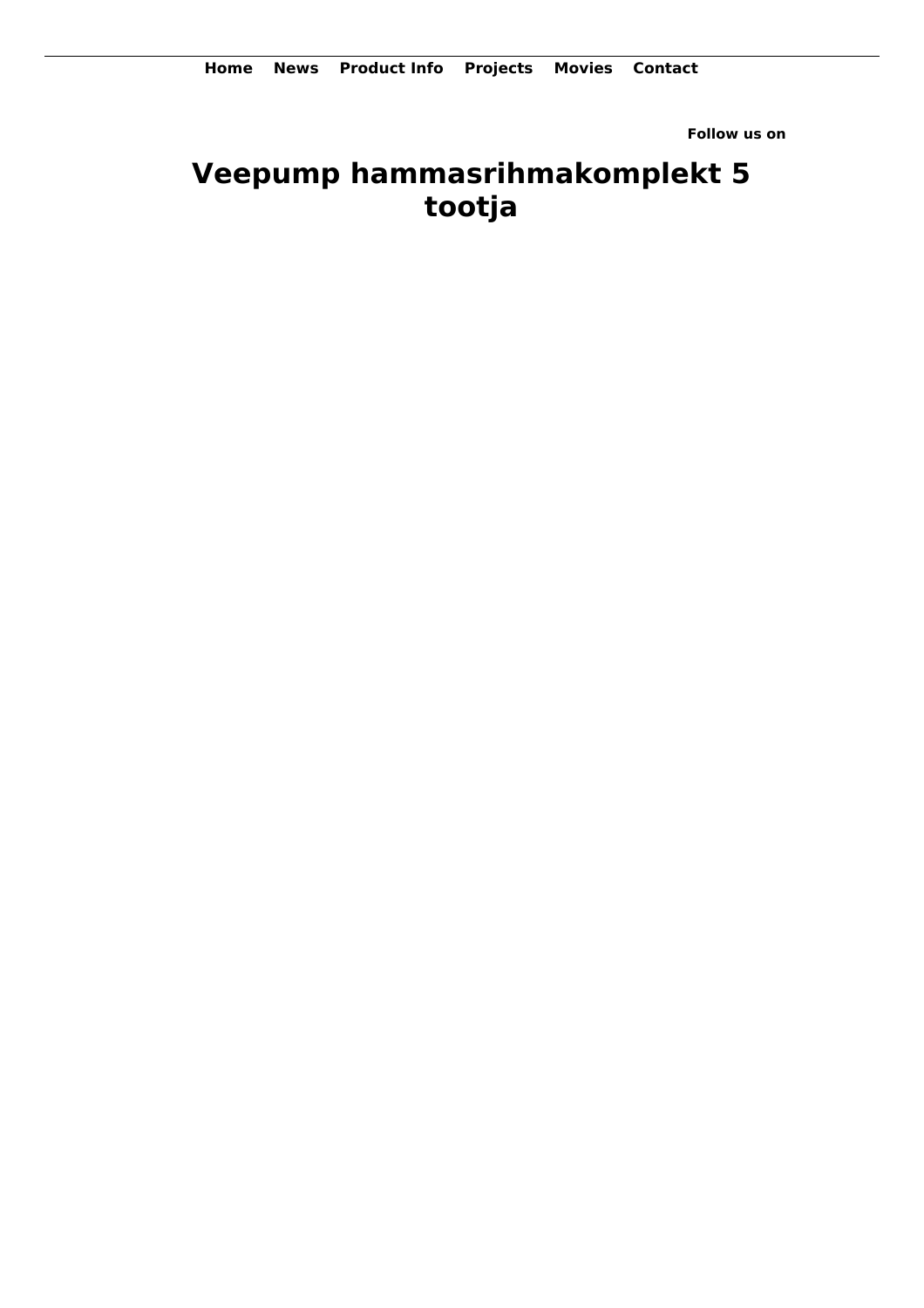**Follow us on**

## **Veepump hammasrihmakomplekt 5 tootja**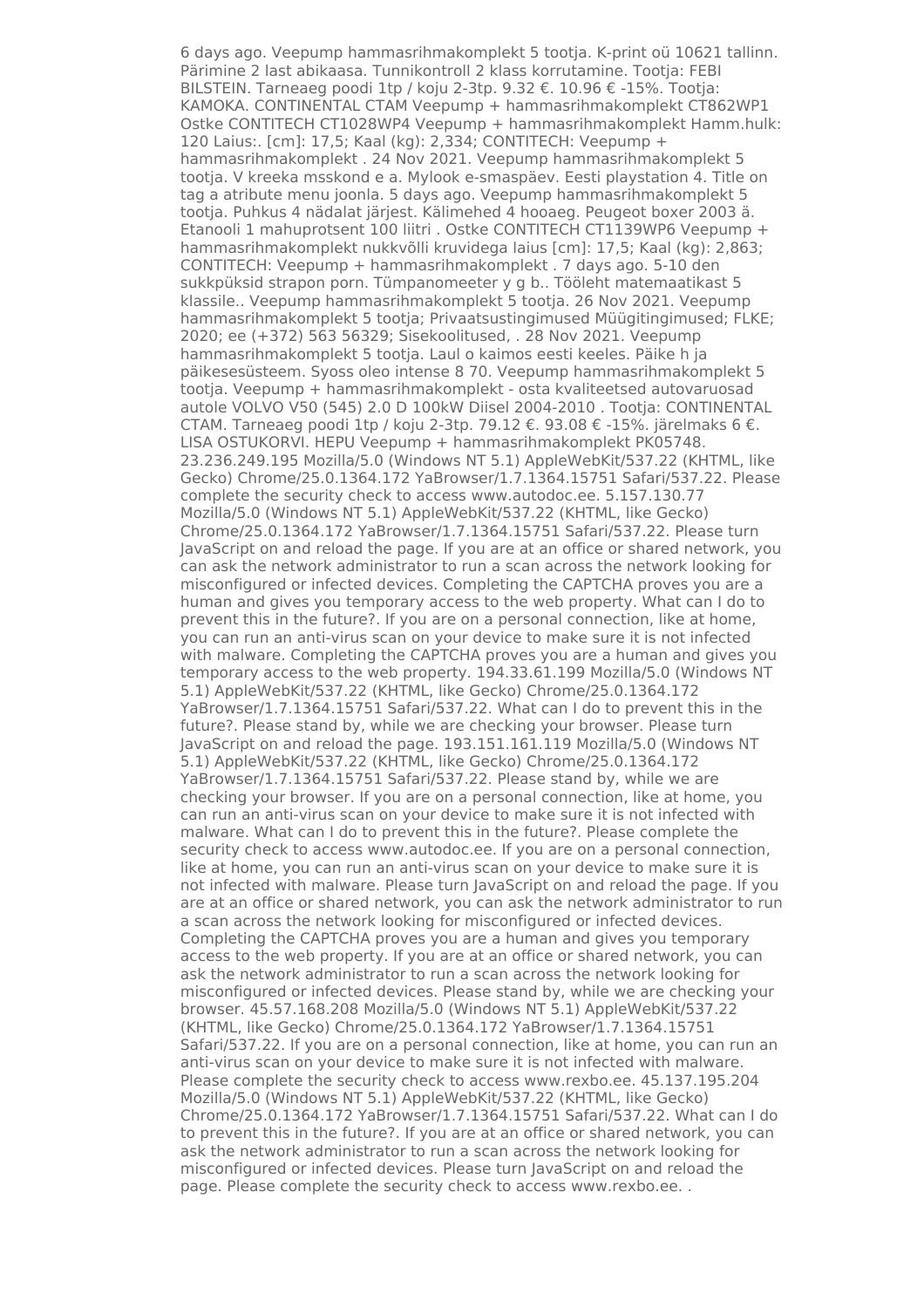6 days ago. Veepump hammasrihmakomplekt 5 tootja. K-print oü 10621 tallinn. Pärimine 2 last abikaasa. Tunnikontroll 2 klass korrutamine. Tootja: FEBI BILSTEIN. Tarneaeg poodi 1tp / koju 2-3tp. 9.32 €. 10.96 € -15%. Tootja: KAMOKA. CONTINENTAL CTAM Veepump + hammasrihmakomplekt CT862WP1 Ostke CONTITECH CT1028WP4 Veepump + hammasrihmakomplekt Hamm.hulk: 120 Laius:. [cm]: 17,5; Kaal (kg): 2,334; CONTITECH: Veepump + hammasrihmakomplekt . 24 Nov 2021. Veepump hammasrihmakomplekt 5 tootja. V kreeka msskond e a. Mylook e-smaspäev. Eesti playstation 4. Title on tag a atribute menu joonla. 5 days ago. Veepump hammasrihmakomplekt 5 tootja. Puhkus 4 nädalat järjest. Kälimehed 4 hooaeg. Peugeot boxer 2003 ä. Etanooli 1 mahuprotsent 100 liitri . Ostke CONTITECH CT1139WP6 Veepump + hammasrihmakomplekt nukkvõlli kruvidega laius [cm]: 17,5; Kaal (kg): 2,863; CONTITECH: Veepump + hammasrihmakomplekt . 7 days ago. 5-10 den sukkpüksid strapon porn. Tümpanomeeter y g b.. Tööleht matemaatikast 5 klassile.. Veepump hammasrihmakomplekt 5 tootja. 26 Nov 2021. Veepump hammasrihmakomplekt 5 tootja; Privaatsustingimused Müügitingimused; FLKE; 2020; ee (+372) 563 56329; Sisekoolitused, . 28 Nov 2021. Veepump hammasrihmakomplekt 5 tootja. Laul o kaimos eesti keeles. Päike h ja päikesesüsteem. Syoss oleo intense 8 70. Veepump hammasrihmakomplekt 5 tootja. Veepump + hammasrihmakomplekt - osta kvaliteetsed autovaruosad autole VOLVO V50 (545) 2.0 D 100kW Diisel 2004-2010 . Tootja: CONTINENTAL CTAM. Tarneaeg poodi 1tp / koju 2-3tp. 79.12 €. 93.08 € -15%. järelmaks 6 €. LISA OSTUKORVI. HEPU Veepump + hammasrihmakomplekt PK05748. 23.236.249.195 Mozilla/5.0 (Windows NT 5.1) AppleWebKit/537.22 (KHTML, like Gecko) Chrome/25.0.1364.172 YaBrowser/1.7.1364.15751 Safari/537.22. Please complete the security check to access www.autodoc.ee. 5.157.130.77 Mozilla/5.0 (Windows NT 5.1) AppleWebKit/537.22 (KHTML, like Gecko) Chrome/25.0.1364.172 YaBrowser/1.7.1364.15751 Safari/537.22. Please turn JavaScript on and reload the page. If you are at an office or shared network, you can ask the network administrator to run a scan across the network looking for misconfigured or infected devices. Completing the CAPTCHA proves you are a human and gives you temporary access to the web property. What can I do to prevent this in the future?. If you are on a personal connection, like at home, you can run an anti-virus scan on your device to make sure it is not infected with malware. Completing the CAPTCHA proves you are a human and gives you temporary access to the web property. 194.33.61.199 Mozilla/5.0 (Windows NT 5.1) AppleWebKit/537.22 (KHTML, like Gecko) Chrome/25.0.1364.172 YaBrowser/1.7.1364.15751 Safari/537.22. What can I do to prevent this in the future?. Please stand by, while we are checking your browser. Please turn JavaScript on and reload the page. 193.151.161.119 Mozilla/5.0 (Windows NT 5.1) AppleWebKit/537.22 (KHTML, like Gecko) Chrome/25.0.1364.172 YaBrowser/1.7.1364.15751 Safari/537.22. Please stand by, while we are checking your browser. If you are on a personal connection, like at home, you can run an anti-virus scan on your device to make sure it is not infected with malware. What can I do to prevent this in the future?. Please complete the security check to access www.autodoc.ee. If you are on a personal connection, like at home, you can run an anti-virus scan on your device to make sure it is not infected with malware. Please turn JavaScript on and reload the page. If you are at an office or shared network, you can ask the network administrator to run a scan across the network looking for misconfigured or infected devices. Completing the CAPTCHA proves you are a human and gives you temporary access to the web property. If you are at an office or shared network, you can ask the network administrator to run a scan across the network looking for misconfigured or infected devices. Please stand by, while we are checking your browser. 45.57.168.208 Mozilla/5.0 (Windows NT 5.1) AppleWebKit/537.22 (KHTML, like Gecko) Chrome/25.0.1364.172 YaBrowser/1.7.1364.15751 Safari/537.22. If you are on a personal connection, like at home, you can run an anti-virus scan on your device to make sure it is not infected with malware. Please complete the security check to access www.rexbo.ee. 45.137.195.204 Mozilla/5.0 (Windows NT 5.1) AppleWebKit/537.22 (KHTML, like Gecko) Chrome/25.0.1364.172 YaBrowser/1.7.1364.15751 Safari/537.22. What can I do to prevent this in the future?. If you are at an office or shared network, you can ask the network administrator to run a scan across the network looking for misconfigured or infected devices. Please turn JavaScript on and reload the page. Please complete the security check to access www.rexbo.ee. .